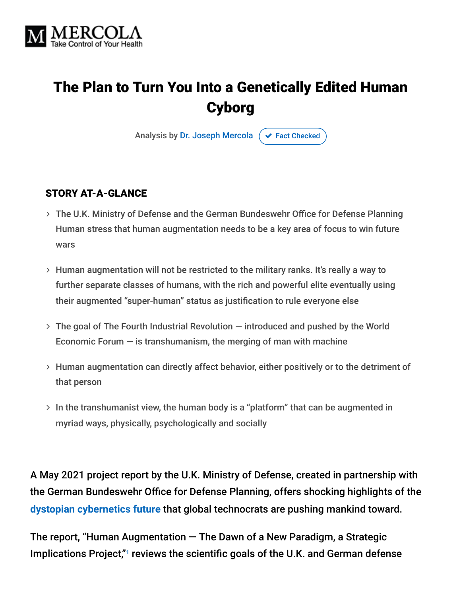

# The Plan to Turn You Into a Genetically Edited Human Cyborg

Analysis by [Dr. Joseph Mercola](https://www.mercola.com/forms/background.htm)  $\sigma$  [Fact Checked](javascript:void(0))

#### STORY AT-A-GLANCE

- The U.K. Ministry of Defense and the German Bundeswehr Office for Defense Planning Human stress that human augmentation needs to be a key area of focus to win future wars
- Human augmentation will not be restricted to the military ranks. It's really a way to further separate classes of humans, with the rich and powerful elite eventually using their augmented "super-human" status as justification to rule everyone else
- The goal of The Fourth Industrial Revolution introduced and pushed by the World Economic Forum  $-$  is transhumanism, the merging of man with machine
- Human augmentation can directly affect behavior, either positively or to the detriment of that person
- $>$  In the transhumanist view, the human body is a "platform" that can be augmented in myriad ways, physically, psychologically and socially

A May 2021 project report by the U.K. Ministry of Defense, created in partnership with the German Bundeswehr Office for Defense Planning, offers shocking highlights of the **[dystopian cybernetics future](https://www.technocracy.news/mercola-on-convergence-transhumanism-and-the-great-reset/)** that global technocrats are pushing mankind toward.

The report, "Human Augmentation — The Dawn of a New Paradigm, a Strategic Implications Project,"<sup>1</sup> reviews the scientific goals of the U.K. and German defense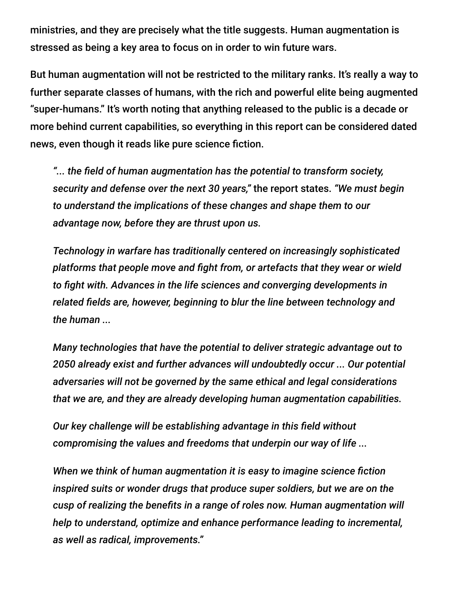ministries, and they are precisely what the title suggests. Human augmentation is stressed as being a key area to focus on in order to win future wars.

But human augmentation will not be restricted to the military ranks. It's really a way to further separate classes of humans, with the rich and powerful elite being augmented "super-humans." It's worth noting that anything released to the public is a decade or more behind current capabilities, so everything in this report can be considered dated news, even though it reads like pure science fiction.

*"... the field of human augmentation has the potential to transform society, security and defense over the next 30 years,"* the report states. *"We must begin to understand the implications of these changes and shape them to our advantage now, before they are thrust upon us.*

*Technology in warfare has traditionally centered on increasingly sophisticated platforms that people move and fight from, or artefacts that they wear or wield to fight with. Advances in the life sciences and converging developments in related fields are, however, beginning to blur the line between technology and the human ...*

*Many technologies that have the potential to deliver strategic advantage out to 2050 already exist and further advances will undoubtedly occur ... Our potential adversaries will not be governed by the same ethical and legal considerations that we are, and they are already developing human augmentation capabilities.*

*Our key challenge will be establishing advantage in this field without compromising the values and freedoms that underpin our way of life ...*

*When we think of human augmentation it is easy to imagine science fiction inspired suits or wonder drugs that produce super soldiers, but we are on the cusp of realizing the benefits in a range of roles now. Human augmentation will help to understand, optimize and enhance performance leading to incremental, as well as radical, improvements."*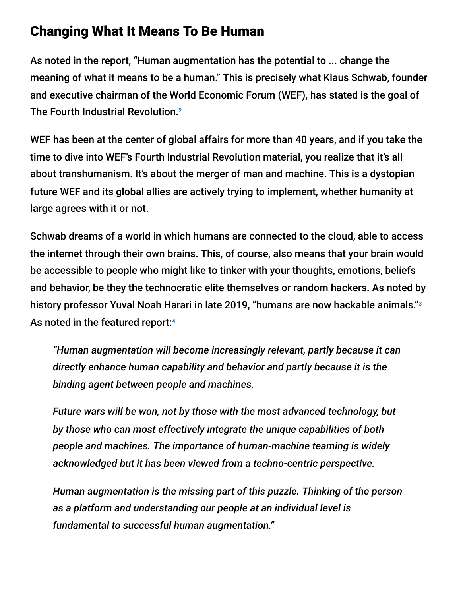### Changing What It Means To Be Human

As noted in the report, "Human augmentation has the potential to ... change the meaning of what it means to be a human." This is precisely what Klaus Schwab, founder and executive chairman of the World Economic Forum (WEF), has stated is the goal of The Fourth Industrial Revolution. 2

WEF has been at the center of global affairs for more than 40 years, and if you take the time to dive into WEF's Fourth Industrial Revolution material, you realize that it's all about transhumanism. It's about the merger of man and machine. This is a dystopian future WEF and its global allies are actively trying to implement, whether humanity at large agrees with it or not.

Schwab dreams of a world in which humans are connected to the cloud, able to access the internet through their own brains. This, of course, also means that your brain would be accessible to people who might like to tinker with your thoughts, emotions, beliefs and behavior, be they the technocratic elite themselves or random hackers. As noted by history professor Yuval Noah Harari in late 2019, "humans are now hackable animals." 3 As noted in the featured report:<sup>4</sup>

*"Human augmentation will become increasingly relevant, partly because it can directly enhance human capability and behavior and partly because it is the binding agent between people and machines.*

*Future wars will be won, not by those with the most advanced technology, but by those who can most effectively integrate the unique capabilities of both people and machines. The importance of human-machine teaming is widely acknowledged but it has been viewed from a techno-centric perspective.*

*Human augmentation is the missing part of this puzzle. Thinking of the person as a platform and understanding our people at an individual level is fundamental to successful human augmentation."*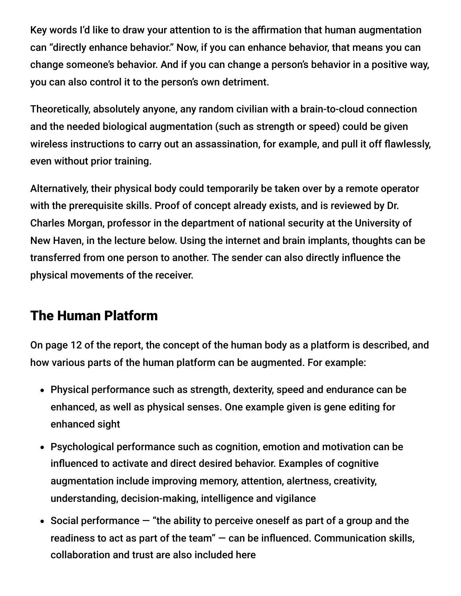Key words I'd like to draw your attention to is the affirmation that human augmentation can "directly enhance behavior." Now, if you can enhance behavior, that means you can change someone's behavior. And if you can change a person's behavior in a positive way, you can also control it to the person's own detriment.

Theoretically, absolutely anyone, any random civilian with a brain-to-cloud connection and the needed biological augmentation (such as strength or speed) could be given wireless instructions to carry out an assassination, for example, and pull it off flawlessly, even without prior training.

Alternatively, their physical body could temporarily be taken over by a remote operator with the prerequisite skills. Proof of concept already exists, and is reviewed by Dr. Charles Morgan, professor in the department of national security at the University of New Haven, in the lecture below. Using the internet and brain implants, thoughts can be transferred from one person to another. The sender can also directly influence the physical movements of the receiver.

# The Human Platform

On page 12 of the report, the concept of the human body as a platform is described, and how various parts of the human platform can be augmented. For example:

- Physical performance such as strength, dexterity, speed and endurance can be enhanced, as well as physical senses. One example given is gene editing for enhanced sight
- Psychological performance such as cognition, emotion and motivation can be influenced to activate and direct desired behavior. Examples of cognitive augmentation include improving memory, attention, alertness, creativity, understanding, decision-making, intelligence and vigilance
- Social performance  $-$  "the ability to perceive oneself as part of a group and the readiness to act as part of the team" — can be influenced. Communication skills, collaboration and trust are also included here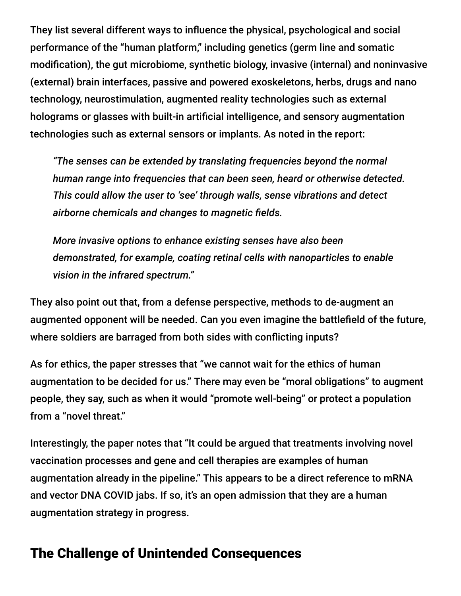They list several different ways to influence the physical, psychological and social performance of the "human platform," including genetics (germ line and somatic modification), the gut microbiome, synthetic biology, invasive (internal) and noninvasive (external) brain interfaces, passive and powered exoskeletons, herbs, drugs and nano technology, neurostimulation, augmented reality technologies such as external holograms or glasses with built-in artificial intelligence, and sensory augmentation technologies such as external sensors or implants. As noted in the report:

*"The senses can be extended by translating frequencies beyond the normal human range into frequencies that can been seen, heard or otherwise detected. This could allow the user to 'see' through walls, sense vibrations and detect airborne chemicals and changes to magnetic fields.*

*More invasive options to enhance existing senses have also been demonstrated, for example, coating retinal cells with nanoparticles to enable vision in the infrared spectrum."*

They also point out that, from a defense perspective, methods to de-augment an augmented opponent will be needed. Can you even imagine the battlefield of the future, where soldiers are barraged from both sides with conflicting inputs?

As for ethics, the paper stresses that "we cannot wait for the ethics of human augmentation to be decided for us." There may even be "moral obligations" to augment people, they say, such as when it would "promote well-being" or protect a population from a "novel threat."

Interestingly, the paper notes that "It could be argued that treatments involving novel vaccination processes and gene and cell therapies are examples of human augmentation already in the pipeline." This appears to be a direct reference to mRNA and vector DNA COVID jabs. If so, it's an open admission that they are a human augmentation strategy in progress.

### The Challenge of Unintended Consequences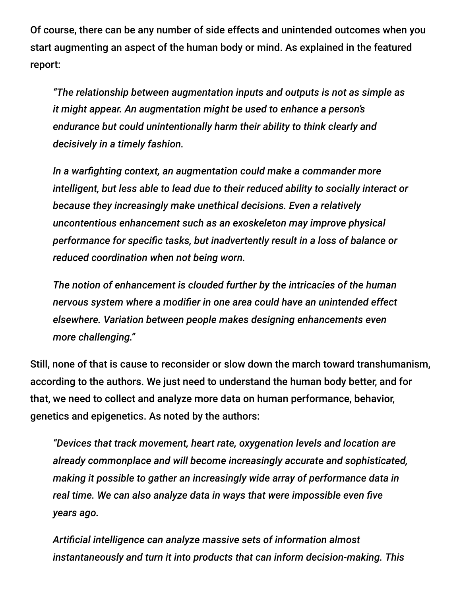Of course, there can be any number of side effects and unintended outcomes when you start augmenting an aspect of the human body or mind. As explained in the featured report:

*"The relationship between augmentation inputs and outputs is not as simple as it might appear. An augmentation might be used to enhance a person's endurance but could unintentionally harm their ability to think clearly and decisively in a timely fashion.*

*In a warfighting context, an augmentation could make a commander more intelligent, but less able to lead due to their reduced ability to socially interact or because they increasingly make unethical decisions. Even a relatively uncontentious enhancement such as an exoskeleton may improve physical performance for specific tasks, but inadvertently result in a loss of balance or reduced coordination when not being worn.*

*The notion of enhancement is clouded further by the intricacies of the human nervous system where a modifier in one area could have an unintended effect elsewhere. Variation between people makes designing enhancements even more challenging."*

Still, none of that is cause to reconsider or slow down the march toward transhumanism, according to the authors. We just need to understand the human body better, and for that, we need to collect and analyze more data on human performance, behavior, genetics and epigenetics. As noted by the authors:

*"Devices that track movement, heart rate, oxygenation levels and location are already commonplace and will become increasingly accurate and sophisticated, making it possible to gather an increasingly wide array of performance data in real time. We can also analyze data in ways that were impossible even five years ago.*

*Artificial intelligence can analyze massive sets of information almost instantaneously and turn it into products that can inform decision-making. This*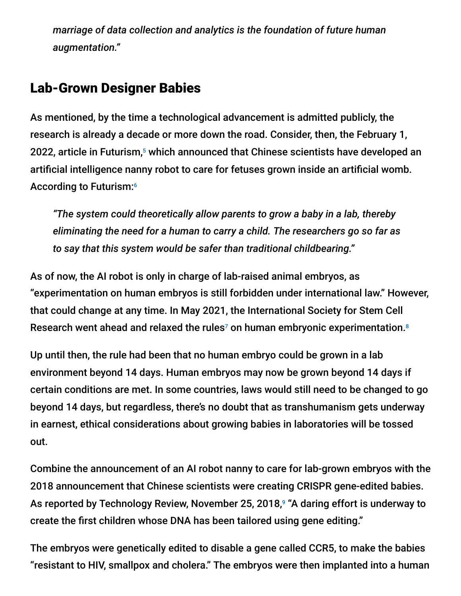*marriage of data collection and analytics is the foundation of future human augmentation."*

#### Lab-Grown Designer Babies

As mentioned, by the time a technological advancement is admitted publicly, the research is already a decade or more down the road. Consider, then, the February 1, 2022, article in Futurism,<sup>5</sup> which announced that Chinese scientists have developed an artificial intelligence nanny robot to care for fetuses grown inside an artificial womb. According to Futurism:6

*"The system could theoretically allow parents to grow a baby in a lab, thereby eliminating the need for a human to carry a child. The researchers go so far as to say that this system would be safer than traditional childbearing."*

As of now, the AI robot is only in charge of lab-raised animal embryos, as "experimentation on human embryos is still forbidden under international law." However, that could change at any time. In May 2021, the International Society for Stem Cell Research went ahead and relaxed the rules<sup>7</sup> on human embryonic experimentation.<sup>8</sup>

Up until then, the rule had been that no human embryo could be grown in a lab environment beyond 14 days. Human embryos may now be grown beyond 14 days if certain conditions are met. In some countries, laws would still need to be changed to go beyond 14 days, but regardless, there's no doubt that as transhumanism gets underway in earnest, ethical considerations about growing babies in laboratories will be tossed out.

Combine the announcement of an AI robot nanny to care for lab-grown embryos with the 2018 announcement that Chinese scientists were creating CRISPR gene-edited babies. As reported by Technology Review, November 25, 2018,<sup>9</sup> "A daring effort is underway to create the first children whose DNA has been tailored using gene editing."

The embryos were genetically edited to disable a gene called CCR5, to make the babies "resistant to HIV, smallpox and cholera." The embryos were then implanted into a human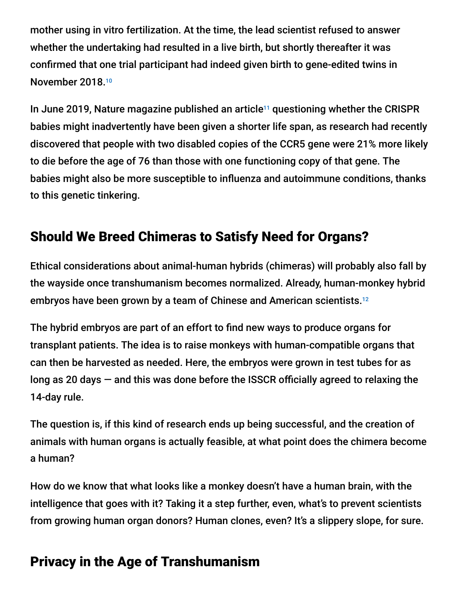mother using in vitro fertilization. At the time, the lead scientist refused to answer whether the undertaking had resulted in a live birth, but shortly thereafter it was confirmed that one trial participant had indeed given birth to gene-edited twins in November 2018. 10

In June 2019, Nature magazine published an article<sup>11</sup> questioning whether the CRISPR babies might inadvertently have been given a shorter life span, as research had recently discovered that people with two disabled copies of the CCR5 gene were 21% more likely to die before the age of 76 than those with one functioning copy of that gene. The babies might also be more susceptible to influenza and autoimmune conditions, thanks to this genetic tinkering.

# Should We Breed Chimeras to Satisfy Need for Organs?

Ethical considerations about animal-human hybrids (chimeras) will probably also fall by the wayside once transhumanism becomes normalized. Already, human-monkey hybrid embryos have been grown by a team of Chinese and American scientists. 12

The hybrid embryos are part of an effort to find new ways to produce organs for transplant patients. The idea is to raise monkeys with human-compatible organs that can then be harvested as needed. Here, the embryos were grown in test tubes for as long as 20 days — and this was done before the ISSCR officially agreed to relaxing the 14-day rule.

The question is, if this kind of research ends up being successful, and the creation of animals with human organs is actually feasible, at what point does the chimera become a human?

How do we know that what looks like a monkey doesn't have a human brain, with the intelligence that goes with it? Taking it a step further, even, what's to prevent scientists from growing human organ donors? Human clones, even? It's a slippery slope, for sure.

### Privacy in the Age of Transhumanism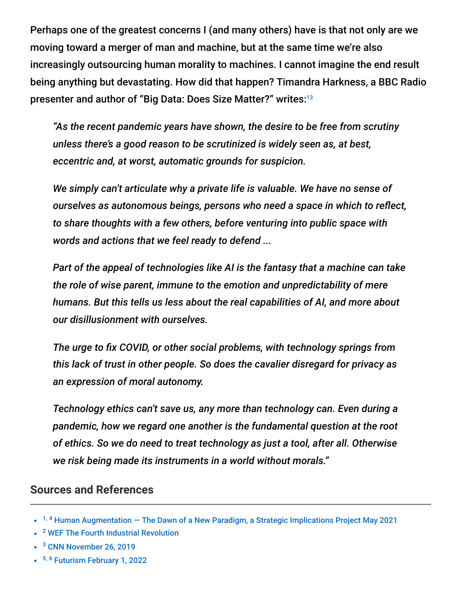Perhaps one of the greatest concerns I (and many others) have is that not only are we moving toward a merger of man and machine, but at the same time we're also increasingly outsourcing human morality to machines. I cannot imagine the end result being anything but devastating. How did that happen? Timandra Harkness, a BBC Radio presenter and author of "Big Data: Does Size Matter?" writes: 13

*"As the recent pandemic years have shown, the desire to be free from scrutiny unless there's a good reason to be scrutinized is widely seen as, at best, eccentric and, at worst, automatic grounds for suspicion.*

*We simply can't articulate why a private life is valuable. We have no sense of ourselves as autonomous beings, persons who need a space in which to reflect, to share thoughts with a few others, before venturing into public space with words and actions that we feel ready to defend ...*

*Part of the appeal of technologies like AI is the fantasy that a machine can take the role of wise parent, immune to the emotion and unpredictability of mere humans. But this tells us less about the real capabilities of AI, and more about our disillusionment with ourselves.*

*The urge to fix COVID, or other social problems, with technology springs from this lack of trust in other people. So does the cavalier disregard for privacy as an expression of moral autonomy.*

*Technology ethics can't save us, any more than technology can. Even during a pandemic, how we regard one another is the fundamental question at the root of ethics. So we do need to treat technology as just a tool, after all. Otherwise we risk being made its instruments in a world without morals."*

#### **Sources and References**

- <sup>3</sup> [CNN November 26, 2019](https://www.cnn.com/videos/world/2019/11/26/yuval-noah-harari-interview-anderson-vpx.cnn)
- <sup>5, 6</sup> [Futurism February 1, 2022](https://futurism.com/neoscope/chinese-artificial-womb-robot-nanny)

<sup>&</sup>lt;sup>1, 4</sup> Human Augmentation  $-$  The Dawn of a New Paradigm, a Strategic Implications Project May 2021

<sup>&</sup>lt;sup>2</sup> [WEF The Fourth Industrial Revolution](https://www.weforum.org/about/the-fourth-industrial-revolution-by-klaus-schwab)